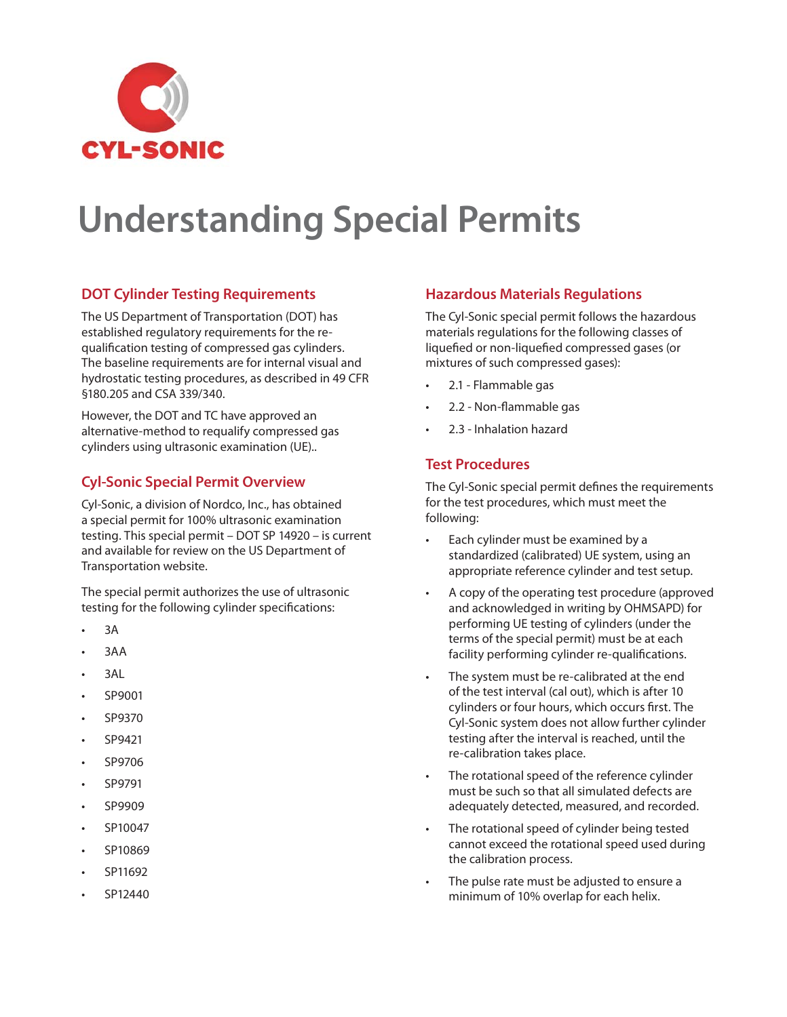

# **Understanding Special Permits**

### **DOT Cylinder Testing Requirements**

The US Department of Transportation (DOT) has established regulatory requirements for the requalification testing of compressed gas cylinders. The baseline requirements are for internal visual and hydrostatic testing procedures, as described in 49 CFR §180.205 and CSA 339/340.

However, the DOT and TC have approved an alternative-method to requalify compressed gas cylinders using ultrasonic examination (UE)..

### **Cyl-Sonic Special Permit Overview**

Cyl-Sonic, a division of Nordco, Inc., has obtained a special permit for 100% ultrasonic examination testing. This special permit – DOT SP 14920 – is current and available for review on the US Department of Transportation website.

The special permit authorizes the use of ultrasonic testing for the following cylinder specifications:

- $3A$
- 3AA
- 3AL
- SP9001
- SP9370
- SP9421
- SP9706
- SP9791
- SP9909
- SP10047
- SP10869
- SP11692
- SP12440

### **Hazardous Materials Regulations**

The Cyl-Sonic special permit follows the hazardous materials regulations for the following classes of liquefied or non-liquefied compressed gases (or mixtures of such compressed gases):

- 2.1 Flammable gas
- 2.2 Non-flammable gas
- 2.3 Inhalation hazard

#### **Test Procedures**

The Cyl-Sonic special permit defines the requirements for the test procedures, which must meet the following:

- Each cylinder must be examined by a standardized (calibrated) UE system, using an appropriate reference cylinder and test setup.
- A copy of the operating test procedure (approved and acknowledged in writing by OHMSAPD) for performing UE testing of cylinders (under the terms of the special permit) must be at each facility performing cylinder re-qualifications.
- The system must be re-calibrated at the end of the test interval (cal out), which is after 10 cylinders or four hours, which occurs first. The Cyl-Sonic system does not allow further cylinder testing after the interval is reached, until the re-calibration takes place.
- The rotational speed of the reference cylinder must be such so that all simulated defects are adequately detected, measured, and recorded.
- The rotational speed of cylinder being tested cannot exceed the rotational speed used during the calibration process.
- The pulse rate must be adjusted to ensure a minimum of 10% overlap for each helix.